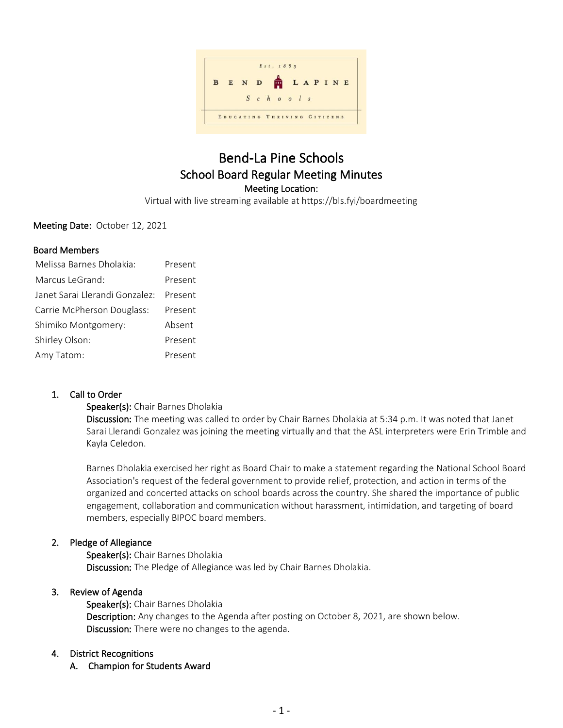

# Bend-La Pine Schools School Board Regular Meeting Minutes Meeting Location:

Virtual with live streaming available at https://bls.fyi/boardmeeting

Meeting Date: October 12, 2021

### Board Members

| Melissa Barnes Dholakia:       | Present |
|--------------------------------|---------|
| Marcus LeGrand <sup>.</sup>    | Present |
| Janet Sarai Llerandi Gonzalez: | Present |
| Carrie McPherson Douglass:     | Present |
| Shimiko Montgomery:            | Absent  |
| Shirley Olson:                 | Present |
| Amy Tatom:                     | Present |

# 1. Call to Order

### Speaker(s): Chair Barnes Dholakia

Discussion: The meeting was called to order by Chair Barnes Dholakia at 5:34 p.m. It was noted that Janet Sarai Llerandi Gonzalez was joining the meeting virtually and that the ASL interpreters were Erin Trimble and Kayla Celedon.

Barnes Dholakia exercised her right as Board Chair to make a statement regarding the National School Board Association's request of the federal government to provide relief, protection, and action in terms of the organized and concerted attacks on school boards across the country. She shared the importance of public engagement, collaboration and communication without harassment, intimidation, and targeting of board members, especially BIPOC board members.

# 2. Pledge of Allegiance

Speaker(s): Chair Barnes Dholakia Discussion: The Pledge of Allegiance was led by Chair Barnes Dholakia.

### 3. Review of Agenda

Speaker(s): Chair Barnes Dholakia Description: Any changes to the Agenda after posting on October 8, 2021, are shown below. Discussion: There were no changes to the agenda.

### 4. District Recognitions

A. Champion for Students Award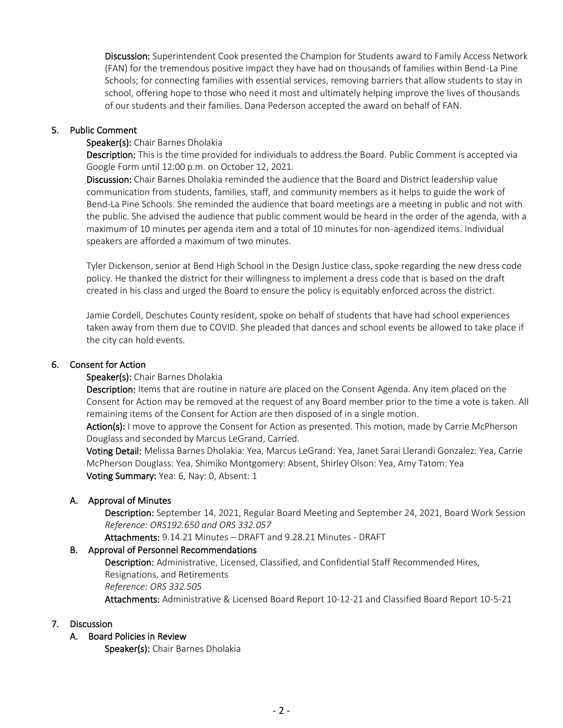Discussion: Superintendent Cook presented the Champion for Students award to Family Access Network (FAN) for the tremendous positive impact they have had on thousands of families within Bend-La Pine Schools; for connecting families with essential services, removing barriers that allow students to stay in school, offering hope to those who need it most and ultimately helping improve the lives of thousands of our students and their families. Dana Pederson accepted the award on behalf of FAN.

### 5. Public Comment

### Speaker(s): Chair Barnes Dholakia

Description: This is the time provided for individuals to address the Board. Public Comment is accepted via [Google Form](https://docs.google.com/forms/d/1781rSu6g_WtHLSQbDiwUv2NfuS4uBPm9fQdyayWTaHI/edit?usp=sharing) until 12:00 p.m. on October 12, 2021.

Discussion: Chair Barnes Dholakia reminded the audience that the Board and District leadership value communication from students, families, staff, and community members as it helps to guide the work of Bend-La Pine Schools. She reminded the audience that board meetings are a meeting in public and not with the public. She advised the audience that public comment would be heard in the order of the agenda, with a maximum of 10 minutes per agenda item and a total of 10 minutes for non-agendized items. Individual speakers are afforded a maximum of two minutes.

Tyler Dickenson, senior at Bend High School in the Design Justice class, spoke regarding the new dress code policy. He thanked the district for their willingness to implement a dress code that is based on the draft created in his class and urged the Board to ensure the policy is equitably enforced across the district.

Jamie Cordell, Deschutes County resident, spoke on behalf of students that have had school experiences taken away from them due to COVID. She pleaded that dances and school events be allowed to take place if the city can hold events.

### 6. Consent for Action

### Speaker(s): Chair Barnes Dholakia

Description: Items that are routine in nature are placed on the Consent Agenda. Any item placed on the Consent for Action may be removed at the request of any Board member prior to the time a vote is taken. All remaining items of the Consent for Action are then disposed of in a single motion.

Action(s): I move to approve the Consent for Action as presented. This motion, made by Carrie McPherson Douglass and seconded by Marcus LeGrand, Carried.

Voting Detail: Melissa Barnes Dholakia: Yea, Marcus LeGrand: Yea, Janet Sarai Llerandi Gonzalez: Yea, Carrie McPherson Douglass: Yea, Shimiko Montgomery: Absent, Shirley Olson: Yea, Amy Tatom: Yea Voting Summary: Yea: 6, Nay: 0, Absent: 1

# A. Approval of Minutes

Description: September 14, 2021, Regular Board Meeting and September 24, 2021, Board Work Session *Reference: ORS192.650 and ORS 332.057*

Attachments: 9.14.21 Minutes – DRAFT and 9.28.21 Minutes - DRAFT

### B. Approval of Personnel Recommendations

Description: Administrative, Licensed, Classified, and Confidential Staff Recommended Hires, Resignations, and Retirements *Reference: ORS 332.505* Attachments: Administrative & Licensed Board Report 10-12-21 and Classified Board Report 10-5-21

### 7. Discussion

# A. Board Policies in Review

Speaker(s): Chair Barnes Dholakia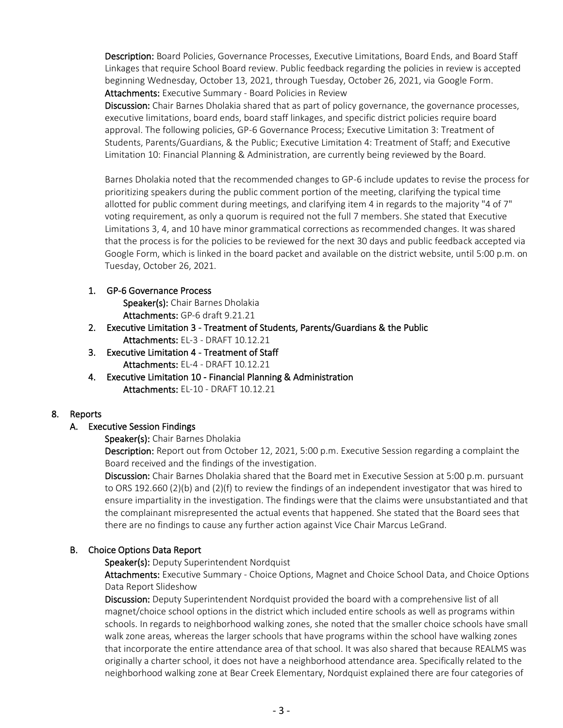Description: Board Policies, Governance Processes, Executive Limitations, Board Ends, and Board Staff Linkages that require School Board review. Public feedback regarding the policies in review is accepted beginning Wednesday, October 13, 2021, through Tuesday, October 26, 2021, via [Google Form.](https://docs.google.com/forms/d/e/1FAIpQLSdpzJr6Cw4SRCqUdcFfVAsvEZd1usfouZ3Y6DVvsiLtRyxtcg/viewform?usp=sf_link) Attachments: Executive Summary - Board Policies in Review

Discussion: Chair Barnes Dholakia shared that as part of policy governance, the governance processes, executive limitations, board ends, board staff linkages, and specific district policies require board approval. The following policies, GP-6 Governance Process; Executive Limitation 3: Treatment of Students, Parents/Guardians, & the Public; Executive Limitation 4: Treatment of Staff; and Executive Limitation 10: Financial Planning & Administration, are currently being reviewed by the Board.

Barnes Dholakia noted that the recommended changes to GP-6 include updates to revise the process for prioritizing speakers during the public comment portion of the meeting, clarifying the typical time allotted for public comment during meetings, and clarifying item 4 in regards to the majority "4 of 7" voting requirement, as only a quorum is required not the full 7 members. She stated that Executive Limitations 3, 4, and 10 have minor grammatical corrections as recommended changes. It was shared that the process is for the policies to be reviewed for the next 30 days and public feedback accepted via Google Form, which is linked in the board packet and available on the district website, until 5:00 p.m. on Tuesday, October 26, 2021.

### 1. GP-6 Governance Process

Speaker(s): Chair Barnes Dholakia Attachments: GP-6 draft 9.21.21

- 2. Executive Limitation 3 Treatment of Students, Parents/Guardians & the Public Attachments: EL-3 - DRAFT 10.12.21
- 3. Executive Limitation 4 Treatment of Staff Attachments: EL-4 - DRAFT 10.12.21
- 4. Executive Limitation 10 Financial Planning & Administration Attachments: EL-10 - DRAFT 10.12.21

# 8. Reports

# A. Executive Session Findings

# Speaker(s): Chair Barnes Dholakia

Description: Report out from October 12, 2021, 5:00 p.m. Executive Session regarding a complaint the Board received and the findings of the investigation.

Discussion: Chair Barnes Dholakia shared that the Board met in Executive Session at 5:00 p.m. pursuant to ORS 192.660 (2)(b) and (2)(f) to review the findings of an independent investigator that was hired to ensure impartiality in the investigation. The findings were that the claims were unsubstantiated and that the complainant misrepresented the actual events that happened. She stated that the Board sees that there are no findings to cause any further action against Vice Chair Marcus LeGrand.

# B. Choice Options Data Report

# Speaker(s): Deputy Superintendent Nordquist

Attachments: Executive Summary - Choice Options, Magnet and Choice School Data, and Choice Options Data Report Slideshow

Discussion: Deputy Superintendent Nordquist provided the board with a comprehensive list of all magnet/choice school options in the district which included entire schools as well as programs within schools. In regards to neighborhood walking zones, she noted that the smaller choice schools have small walk zone areas, whereas the larger schools that have programs within the school have walking zones that incorporate the entire attendance area of that school. It was also shared that because REALMS was originally a charter school, it does not have a neighborhood attendance area. Specifically related to the neighborhood walking zone at Bear Creek Elementary, Nordquist explained there are four categories of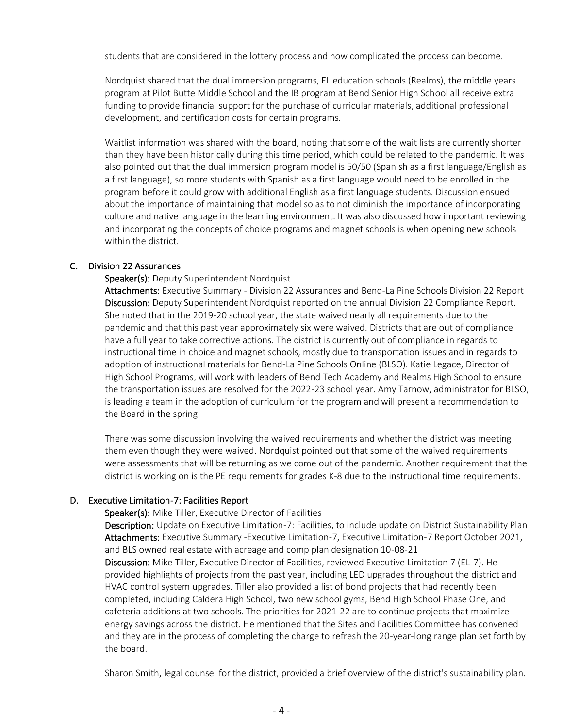students that are considered in the lottery process and how complicated the process can become.

Nordquist shared that the dual immersion programs, EL education schools (Realms), the middle years program at Pilot Butte Middle School and the IB program at Bend Senior High School all receive extra funding to provide financial support for the purchase of curricular materials, additional professional development, and certification costs for certain programs.

Waitlist information was shared with the board, noting that some of the wait lists are currently shorter than they have been historically during this time period, which could be related to the pandemic. It was also pointed out that the dual immersion program model is 50/50 (Spanish as a first language/English as a first language), so more students with Spanish as a first language would need to be enrolled in the program before it could grow with additional English as a first language students. Discussion ensued about the importance of maintaining that model so as to not diminish the importance of incorporating culture and native language in the learning environment. It was also discussed how important reviewing and incorporating the concepts of choice programs and magnet schools is when opening new schools within the district.

### C. Division 22 Assurances

### Speaker(s): Deputy Superintendent Nordquist

Attachments: Executive Summary - Division 22 Assurances and Bend-La Pine Schools Division 22 Report Discussion: Deputy Superintendent Nordquist reported on the annual Division 22 Compliance Report. She noted that in the 2019-20 school year, the state waived nearly all requirements due to the pandemic and that this past year approximately six were waived. Districts that are out of compliance have a full year to take corrective actions. The district is currently out of compliance in regards to instructional time in choice and magnet schools, mostly due to transportation issues and in regards to adoption of instructional materials for Bend-La Pine Schools Online (BLSO). Katie Legace, Director of High School Programs, will work with leaders of Bend Tech Academy and Realms High School to ensure the transportation issues are resolved for the 2022-23 school year. Amy Tarnow, administrator for BLSO, is leading a team in the adoption of curriculum for the program and will present a recommendation to the Board in the spring.

There was some discussion involving the waived requirements and whether the district was meeting them even though they were waived. Nordquist pointed out that some of the waived requirements were assessments that will be returning as we come out of the pandemic. Another requirement that the district is working on is the PE requirements for grades K-8 due to the instructional time requirements.

### D. Executive Limitation-7: Facilities Report

#### Speaker(s): Mike Tiller, Executive Director of Facilities

Description: Update on Executive Limitation-7: Facilities, to include update on District Sustainability Plan Attachments: Executive Summary -Executive Limitation-7, Executive Limitation-7 Report October 2021, and BLS owned real estate with acreage and comp plan designation 10-08-21

Discussion: Mike Tiller, Executive Director of Facilities, reviewed Executive Limitation 7 (EL-7). He provided highlights of projects from the past year, including LED upgrades throughout the district and HVAC control system upgrades. Tiller also provided a list of bond projects that had recently been completed, including Caldera High School, two new school gyms, Bend High School Phase One, and cafeteria additions at two schools. The priorities for 2021-22 are to continue projects that maximize energy savings across the district. He mentioned that the Sites and Facilities Committee has convened and they are in the process of completing the charge to refresh the 20-year-long range plan set forth by the board.

Sharon Smith, legal counsel for the district, provided a brief overview of the district's sustainability plan.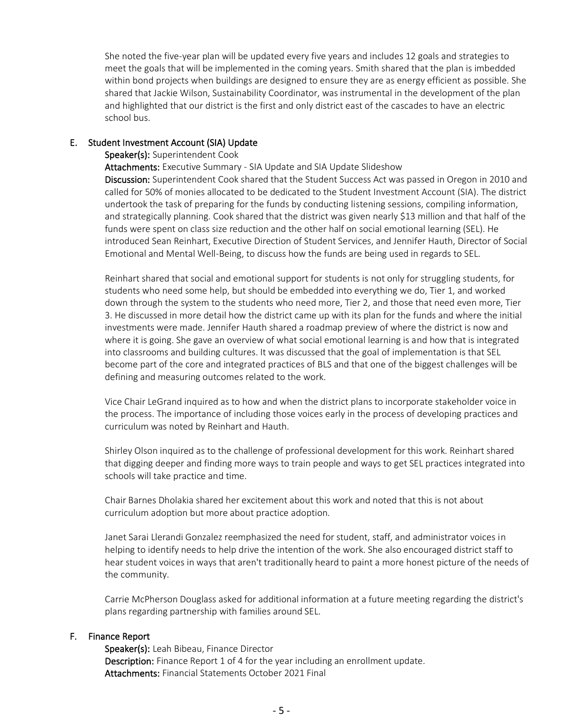She noted the five-year plan will be updated every five years and includes 12 goals and strategies to meet the goals that will be implemented in the coming years. Smith shared that the plan is imbedded within bond projects when buildings are designed to ensure they are as energy efficient as possible. She shared that Jackie Wilson, Sustainability Coordinator, was instrumental in the development of the plan and highlighted that our district is the first and only district east of the cascades to have an electric school bus.

#### E. Student Investment Account (SIA) Update

#### Speaker(s): Superintendent Cook

Attachments: Executive Summary - SIA Update and SIA Update Slideshow

Discussion: Superintendent Cook shared that the Student Success Act was passed in Oregon in 2010 and called for 50% of monies allocated to be dedicated to the Student Investment Account (SIA). The district undertook the task of preparing for the funds by conducting listening sessions, compiling information, and strategically planning. Cook shared that the district was given nearly \$13 million and that half of the funds were spent on class size reduction and the other half on social emotional learning (SEL). He introduced Sean Reinhart, Executive Direction of Student Services, and Jennifer Hauth, Director of Social Emotional and Mental Well-Being, to discuss how the funds are being used in regards to SEL.

Reinhart shared that social and emotional support for students is not only for struggling students, for students who need some help, but should be embedded into everything we do, Tier 1, and worked down through the system to the students who need more, Tier 2, and those that need even more, Tier 3. He discussed in more detail how the district came up with its plan for the funds and where the initial investments were made. Jennifer Hauth shared a roadmap preview of where the district is now and where it is going. She gave an overview of what social emotional learning is and how that is integrated into classrooms and building cultures. It was discussed that the goal of implementation is that SEL become part of the core and integrated practices of BLS and that one of the biggest challenges will be defining and measuring outcomes related to the work.

Vice Chair LeGrand inquired as to how and when the district plans to incorporate stakeholder voice in the process. The importance of including those voices early in the process of developing practices and curriculum was noted by Reinhart and Hauth.

Shirley Olson inquired as to the challenge of professional development for this work. Reinhart shared that digging deeper and finding more ways to train people and ways to get SEL practices integrated into schools will take practice and time.

Chair Barnes Dholakia shared her excitement about this work and noted that this is not about curriculum adoption but more about practice adoption.

Janet Sarai Llerandi Gonzalez reemphasized the need for student, staff, and administrator voices in helping to identify needs to help drive the intention of the work. She also encouraged district staff to hear student voices in ways that aren't traditionally heard to paint a more honest picture of the needs of the community.

Carrie McPherson Douglass asked for additional information at a future meeting regarding the district's plans regarding partnership with families around SEL.

### F. Finance Report

Speaker(s): Leah Bibeau, Finance Director Description: Finance Report 1 of 4 for the year including an enrollment update. Attachments: Financial Statements October 2021 Final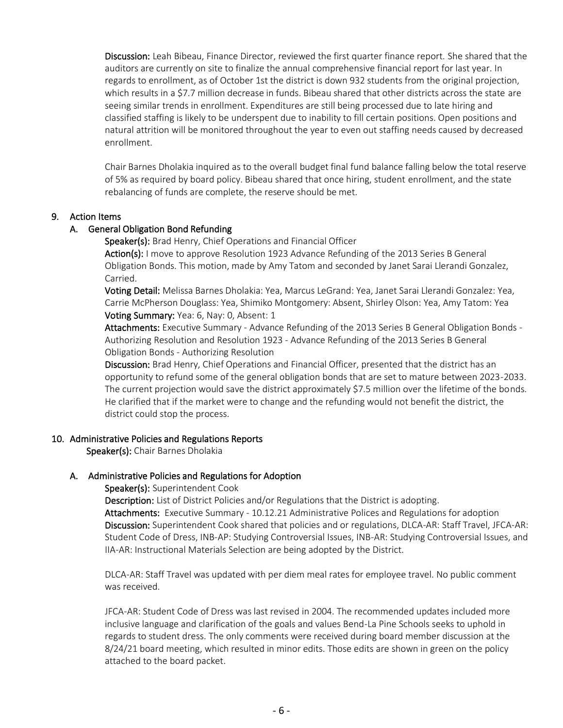Discussion: Leah Bibeau, Finance Director, reviewed the first quarter finance report. She shared that the auditors are currently on site to finalize the annual comprehensive financial report for last year. In regards to enrollment, as of October 1st the district is down 932 students from the original projection, which results in a \$7.7 million decrease in funds. Bibeau shared that other districts across the state are seeing similar trends in enrollment. Expenditures are still being processed due to late hiring and classified staffing is likely to be underspent due to inability to fill certain positions. Open positions and natural attrition will be monitored throughout the year to even out staffing needs caused by decreased enrollment.

Chair Barnes Dholakia inquired as to the overall budget final fund balance falling below the total reserve of 5% as required by board policy. Bibeau shared that once hiring, student enrollment, and the state rebalancing of funds are complete, the reserve should be met.

### 9. Action Items

### A. General Obligation Bond Refunding

Speaker(s): Brad Henry, Chief Operations and Financial Officer

Action(s): I move to approve Resolution 1923 Advance Refunding of the 2013 Series B General Obligation Bonds. This motion, made by Amy Tatom and seconded by Janet Sarai Llerandi Gonzalez, Carried.

Voting Detail: Melissa Barnes Dholakia: Yea, Marcus LeGrand: Yea, Janet Sarai Llerandi Gonzalez: Yea, Carrie McPherson Douglass: Yea, Shimiko Montgomery: Absent, Shirley Olson: Yea, Amy Tatom: Yea Voting Summary: Yea: 6, Nay: 0, Absent: 1

Attachments: Executive Summary - Advance Refunding of the 2013 Series B General Obligation Bonds - Authorizing Resolution and Resolution 1923 - Advance Refunding of the 2013 Series B General Obligation Bonds - Authorizing Resolution

Discussion: Brad Henry, Chief Operations and Financial Officer, presented that the district has an opportunity to refund some of the general obligation bonds that are set to mature between 2023-2033. The current projection would save the district approximately \$7.5 million over the lifetime of the bonds. He clarified that if the market were to change and the refunding would not benefit the district, the district could stop the process.

### 10. Administrative Policies and Regulations Reports

Speaker(s): Chair Barnes Dholakia

# A. Administrative Policies and Regulations for Adoption

### Speaker(s): Superintendent Cook

Description: List of District Policies and/or Regulations that the District is adopting. Attachments: Executive Summary - 10.12.21 Administrative Polices and Regulations for adoption Discussion: Superintendent Cook shared that policies and or regulations, DLCA-AR: Staff Travel, JFCA-AR: Student Code of Dress, INB-AP: Studying Controversial Issues, INB-AR: Studying Controversial Issues, and IIA-AR: Instructional Materials Selection are being adopted by the District.

DLCA-AR: Staff Travel was updated with per diem meal rates for employee travel. No public comment was received.

JFCA-AR: Student Code of Dress was last revised in 2004. The recommended updates included more inclusive language and clarification of the goals and values Bend-La Pine Schools seeks to uphold in regards to student dress. The only comments were received during board member discussion at the 8/24/21 board meeting, which resulted in minor edits. Those edits are shown in green on the policy attached to the board packet.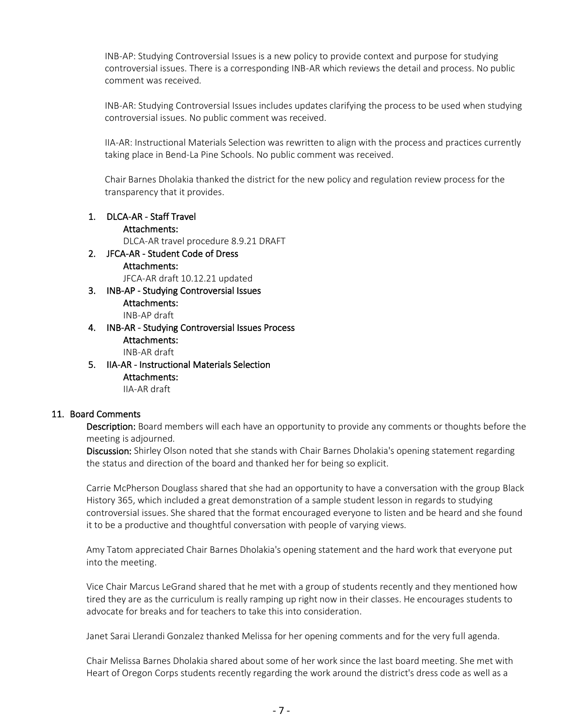INB-AP: Studying Controversial Issues is a new policy to provide context and purpose for studying controversial issues. There is a corresponding INB-AR which reviews the detail and process. No public comment was received.

INB-AR: Studying Controversial Issues includes updates clarifying the process to be used when studying controversial issues. No public comment was received.

IIA-AR: Instructional Materials Selection was rewritten to align with the process and practices currently taking place in Bend-La Pine Schools. No public comment was received.

Chair Barnes Dholakia thanked the district for the new policy and regulation review process for the transparency that it provides.

1. DLCA-AR - Staff Travel

### Attachments:

DLCA-AR travel procedure 8.9.21 DRAFT

2. JFCA-AR - Student Code of Dress Attachments:

JFCA-AR draft 10.12.21 updated

- 3. INB-AP Studying Controversial Issues Attachments: INB-AP draft
- 4. INB-AR Studying Controversial Issues Process Attachments: INB-AR draft
- 5. IIA-AR Instructional Materials Selection Attachments: IIA-AR draft

# 11. Board Comments

Description: Board members will each have an opportunity to provide any comments or thoughts before the meeting is adjourned.

Discussion: Shirley Olson noted that she stands with Chair Barnes Dholakia's opening statement regarding the status and direction of the board and thanked her for being so explicit.

Carrie McPherson Douglass shared that she had an opportunity to have a conversation with the group Black History 365, which included a great demonstration of a sample student lesson in regards to studying controversial issues. She shared that the format encouraged everyone to listen and be heard and she found it to be a productive and thoughtful conversation with people of varying views.

Amy Tatom appreciated Chair Barnes Dholakia's opening statement and the hard work that everyone put into the meeting.

Vice Chair Marcus LeGrand shared that he met with a group of students recently and they mentioned how tired they are as the curriculum is really ramping up right now in their classes. He encourages students to advocate for breaks and for teachers to take this into consideration.

Janet Sarai Llerandi Gonzalez thanked Melissa for her opening comments and for the very full agenda.

Chair Melissa Barnes Dholakia shared about some of her work since the last board meeting. She met with Heart of Oregon Corps students recently regarding the work around the district's dress code as well as a